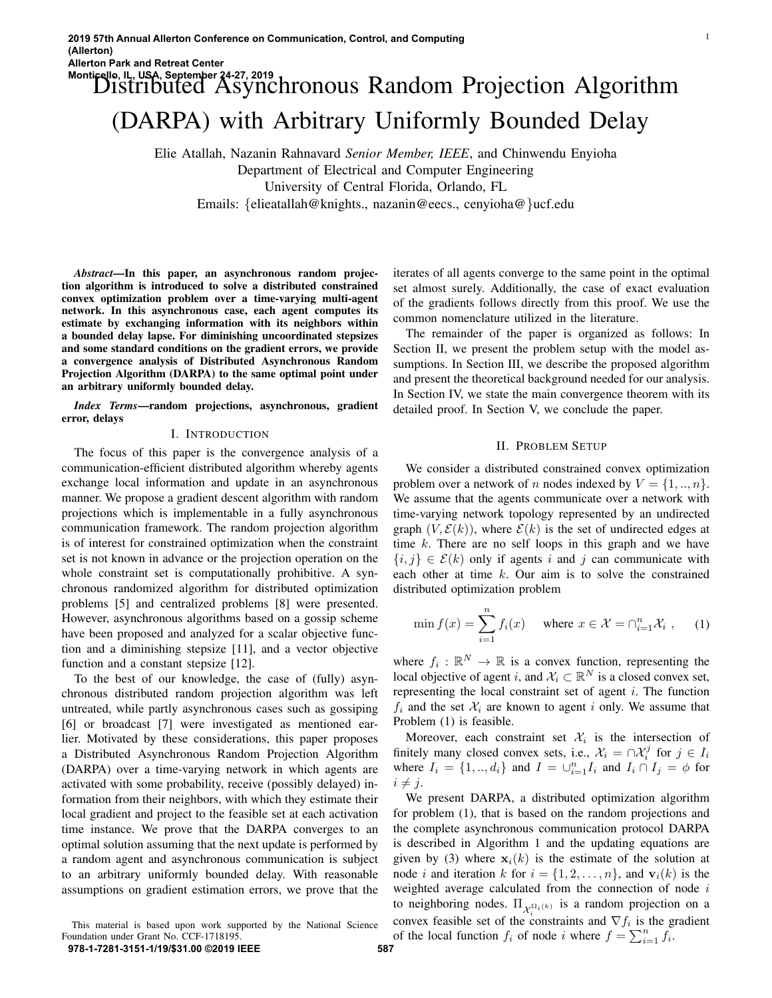# Monticello, IL, USA, September 24-27, 2019<br>Distributed Asynchronous Random Projection Algorithm (DARPA) with Arbitrary Uniformly Bounded Delay

Elie Atallah, Nazanin Rahnavard *Senior Member, IEEE*, and Chinwendu Enyioha Department of Electrical and Computer Engineering University of Central Florida, Orlando, FL Emails: {elieatallah@knights., nazanin@eecs., cenyioha@}ucf.edu

*Abstract*—In this paper, an asynchronous random projection algorithm is introduced to solve a distributed constrained convex optimization problem over a time-varying multi-agent network. In this asynchronous case, each agent computes its estimate by exchanging information with its neighbors within a bounded delay lapse. For diminishing uncoordinated stepsizes and some standard conditions on the gradient errors, we provide a convergence analysis of Distributed Asynchronous Random Projection Algorithm (DARPA) to the same optimal point under an arbitrary uniformly bounded delay.

*Index Terms*—random projections, asynchronous, gradient error, delays

#### I. INTRODUCTION

The focus of this paper is the convergence analysis of a communication-efficient distributed algorithm whereby agents exchange local information and update in an asynchronous manner. We propose a gradient descent algorithm with random projections which is implementable in a fully asynchronous communication framework. The random projection algorithm is of interest for constrained optimization when the constraint set is not known in advance or the projection operation on the whole constraint set is computationally prohibitive. A synchronous randomized algorithm for distributed optimization problems [5] and centralized problems [8] were presented. However, asynchronous algorithms based on a gossip scheme have been proposed and analyzed for a scalar objective function and a diminishing stepsize [11], and a vector objective function and a constant stepsize [12].

To the best of our knowledge, the case of (fully) asynchronous distributed random projection algorithm was left untreated, while partly asynchronous cases such as gossiping [6] or broadcast [7] were investigated as mentioned earlier. Motivated by these considerations, this paper proposes a Distributed Asynchronous Random Projection Algorithm (DARPA) over a time-varying network in which agents are activated with some probability, receive (possibly delayed) information from their neighbors, with which they estimate their local gradient and project to the feasible set at each activation time instance. We prove that the DARPA converges to an optimal solution assuming that the next update is performed by a random agent and asynchronous communication is subject to an arbitrary uniformly bounded delay. With reasonable assumptions on gradient estimation errors, we prove that the

This material is based upon work supported by the National Science Foundation under Grant No. CCF-1718195. **978-1-7281-3151-1/19/\$31.00 ©2019 IEEE 587**

iterates of all agents converge to the same point in the optimal set almost surely. Additionally, the case of exact evaluation of the gradients follows directly from this proof. We use the common nomenclature utilized in the literature.

The remainder of the paper is organized as follows: In Section II, we present the problem setup with the model assumptions. In Section III, we describe the proposed algorithm and present the theoretical background needed for our analysis. In Section IV, we state the main convergence theorem with its detailed proof. In Section V, we conclude the paper.

#### II. PROBLEM SETUP

We consider a distributed constrained convex optimization problem over a network of *n* nodes indexed by  $V = \{1, ..., n\}$ . We assume that the agents communicate over a network with time-varying network topology represented by an undirected graph  $(V, \mathcal{E}(k))$ , where  $\mathcal{E}(k)$  is the set of undirected edges at time  $k$ . There are no self loops in this graph and we have  $\{i, j\} \in \mathcal{E}(k)$  only if agents i and j can communicate with each other at time  $k$ . Our aim is to solve the constrained distributed optimization problem

$$
\min f(x) = \sum_{i=1}^{n} f_i(x) \quad \text{where } x \in \mathcal{X} = \bigcap_{i=1}^{n} \mathcal{X}_i , \quad (1)
$$

where  $f_i : \mathbb{R}^N \to \mathbb{R}$  is a convex function, representing the local objective of agent i, and  $\mathcal{X}_i \subset \mathbb{R}^N$  is a closed convex set, representing the local constraint set of agent  $i$ . The function  $f_i$  and the set  $\mathcal{X}_i$  are known to agent i only. We assume that Problem (1) is feasible.

Moreover, each constraint set  $\mathcal{X}_i$  is the intersection of finitely many closed convex sets, i.e.,  $\mathcal{X}_i = \bigcap \mathcal{X}_i^j$  for  $j \in I_i$ where  $I_i = \{1, ..., d_i\}$  and  $I = \bigcup_{i=1}^n I_i$  and  $I_i \cap I_j = \emptyset$  for  $i \neq j$ .

We present DARPA, a distributed optimization algorithm for problem (1), that is based on the random projections and the complete asynchronous communication protocol DARPA is described in Algorithm 1 and the updating equations are given by (3) where  $x_i(k)$  is the estimate of the solution at node i and iteration k for  $i = \{1, 2, \ldots, n\}$ , and  $v_i(k)$  is the weighted average calculated from the connection of node  $i$ to neighboring nodes.  $\Pi_{\mathcal{X}_i^{\Omega_i(k)}}$  is a random projection on a convex feasible set of the constraints and  $\nabla f_i$  is the gradient of the local function  $f_i$  of node i where  $f = \sum_{i=1}^n f_i$ .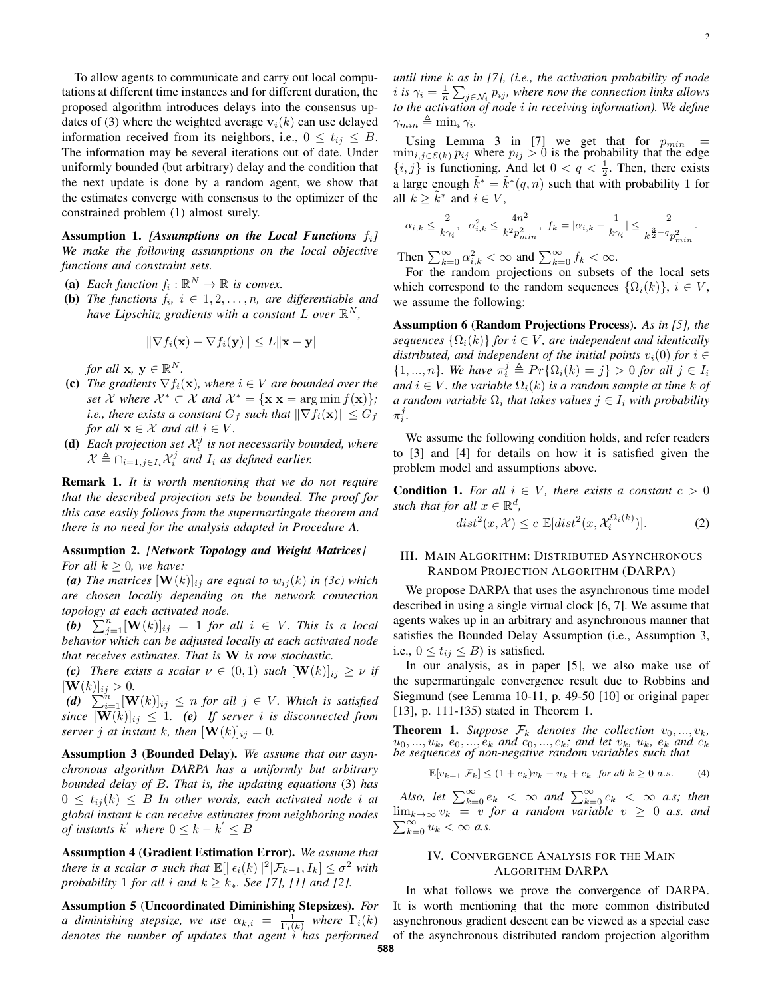To allow agents to communicate and carry out local computations at different time instances and for different duration, the proposed algorithm introduces delays into the consensus updates of (3) where the weighted average  $v_i(k)$  can use delayed information received from its neighbors, i.e.,  $0 \le t_{ij} \le B$ . The information may be several iterations out of date. Under uniformly bounded (but arbitrary) delay and the condition that the next update is done by a random agent, we show that the estimates converge with consensus to the optimizer of the constrained problem (1) almost surely.

Assumption 1. *[Assumptions on the Local Functions* fi*] We make the following assumptions on the local objective functions and constraint sets.*

- (a) Each function  $f_i : \mathbb{R}^N \to \mathbb{R}$  is convex.
- **(b)** *The functions*  $f_i$ ,  $i \in 1, 2, \ldots, n$ , are differentiable and *have Lipschitz gradients with a constant*  $L$  *over*  $\mathbb{R}^N$ *,*

$$
\|\nabla f_i(\mathbf{x}) - \nabla f_i(\mathbf{y})\| \le L \|\mathbf{x} - \mathbf{y}\|
$$

*for all*  $\mathbf{x}, \mathbf{y} \in \mathbb{R}^N$ *.* 

- (c) *The gradients*  $\nabla f_i(\mathbf{x})$ *, where*  $i \in V$  *are bounded over the set X where*  $X^* \subset X$  *and*  $X^* = {\mathbf{x} | \mathbf{x} = \arg \min f(\mathbf{x}) }$ ; *i.e., there exists a constant*  $G_f$  *such that*  $\|\nabla f_i(\mathbf{x})\| \leq G_f$ *for all*  $\mathbf{x} \in \mathcal{X}$  *and all*  $i \in V$ *.*
- (**d**) Each projection set  $\mathcal{X}_i^j$  is not necessarily bounded, where  $\mathcal{X} \triangleq \bigcap_{i=1, j \in I_i} \mathcal{X}_i^j$  and  $I_i$  as defined earlier.

Remark 1. *It is worth mentioning that we do not require that the described projection sets be bounded. The proof for this case easily follows from the supermartingale theorem and there is no need for the analysis adapted in Procedure A.*

## Assumption 2. *[Network Topology and Weight Matrices] For all*  $k \geq 0$ *, we have:*

(a) The matrices  $[\mathbf{W}(k)]_{ij}$  are equal to  $w_{ij}(k)$  in (3c) which *are chosen locally depending on the network connection topology at each activated node.*

 $\widetilde{(b)}$   $\sum_{j=1}^{n} [\mathbf{W}(k)]_{ij} = 1$  *for all*  $i \in V$ *. This is a local behavior which can be adjusted locally at each activated node that receives estimates. That is* W *is row stochastic.*

*(c) There exists a scalar*  $\nu \in (0,1)$  *such*  $[\mathbf{W}(k)]_{ij} \geq \nu$  *if*  $[\mathbf{W}(k)]_{ij} > 0.$ 

 $(d)$   $\sum_{i=1}^{n} [\mathbf{W}(k)]_{ij} \leq n$  *for all*  $j \in V$ *. Which is satisfied since*  $[\mathbf{W}(k)]_{ij} \leq 1$ . (e) If server *i* is disconnected from *server j at instant k, then*  $[\mathbf{W}(k)]_{ij} = 0$ *.* 

Assumption 3 (Bounded Delay). *We assume that our asynchronous algorithm DARPA has a uniformly but arbitrary bounded delay of* B*. That is, the updating equations* (3) *has*  $0 \leq t_{ij}(k) \leq B$  *In other words, each activated node i at global instant* k *can receive estimates from neighboring nodes of instants*  $k^{'}$  where  $0 \leq k - k^{'} \leq B$ 

Assumption 4 (Gradient Estimation Error). *We assume that there is a scalar*  $\sigma$  *such that*  $\mathbb{E}[\|\epsilon_i(k)\|^2 | \mathcal{F}_{k-1}, I_k] \leq \sigma^2$  with *probability* 1 *for all i and*  $k \geq k_*$ *. See* [7], [1] *and* [2].

Assumption 5 (Uncoordinated Diminishing Stepsizes). *For a* diminishing stepsize, we use  $\alpha_{k,i} = \frac{1}{\Gamma_i(k)}$  where  $\Gamma_i(k)$ *denotes the number of updates that agent* i *has performed*

*until time* k *as in [7], (i.e., the activation probability of node i* is  $\gamma_i = \frac{1}{n} \sum_{j \in \mathcal{N}_i} p_{ij}$ , where now the connection links allows *to the activation of node* i *in receiving information). We define*  $\gamma_{min} \triangleq \min_i \gamma_i$ .

Using Lemma 3 in [7] we get that for  $p_{min}$  =  $\min_{i,j \in \mathcal{E}(k)} p_{ij}$  where  $p_{ij} > 0$  is the probability that the edge  $\{i, j\}$  is functioning. And let  $0 < q < \frac{1}{2}$ . Then, there exists a large enough  $\tilde{k}^* = \tilde{k}^*(q, n)$  such that with probability 1 for all  $k \geq \tilde{k}^*$  and  $i \in V$ ,

$$
\alpha_{i,k}\leq \frac{2}{k\gamma_i}, \ \ \alpha_{i,k}^2\leq \frac{4n^2}{k^2p_{min}^2}, \ f_k=|\alpha_{i,k}-\frac{1}{k\gamma_i}|\leq \frac{2}{k^{\frac{3}{2}-q}p_{min}^2}.
$$

Then  $\sum_{k=0}^{\infty} \alpha_{i,k}^2 < \infty$  and  $\sum_{k=0}^{\infty} f_k < \infty$ .

For the random projections on subsets of the local sets which correspond to the random sequences  $\{\Omega_i(k)\}\$ ,  $i \in V$ , we assume the following:

Assumption 6 (Random Projections Process). *As in [5], the sequences*  $\{\Omega_i(k)\}\$  *for*  $i \in V$ *, are independent and identically distributed, and independent of the initial points*  $v_i(0)$  *for*  $i \in$  $\{1, ..., n\}$ *. We have*  $\pi_i^j \triangleq Pr\{\Omega_i(k) = j\} > 0$  *for all*  $j \in I_i$ *and*  $i \in V$ *. the variable*  $\Omega_i(k)$  *is a random sample at time* k of *a random variable*  $\Omega_i$  that takes values  $j \in I_i$  with probability  $\pi_i^j$ .

We assume the following condition holds, and refer readers to [3] and [4] for details on how it is satisfied given the problem model and assumptions above.

**Condition 1.** For all  $i \in V$ , there exists a constant  $c > 0$ *such that for all*  $x \in \mathbb{R}^d$ ,  $\sim$   $\sim$ 

$$
dist^{2}(x, \mathcal{X}) \le c \mathbb{E}[dist^{2}(x, \mathcal{X}_{i}^{\Omega_{i}(k)})]. \tag{2}
$$

## III. MAIN ALGORITHM: DISTRIBUTED ASYNCHRONOUS RANDOM PROJECTION ALGORITHM (DARPA)

We propose DARPA that uses the asynchronous time model described in using a single virtual clock [6, 7]. We assume that agents wakes up in an arbitrary and asynchronous manner that satisfies the Bounded Delay Assumption (i.e., Assumption 3, i.e.,  $0 \le t_{ij} \le B$ ) is satisfied.

In our analysis, as in paper [5], we also make use of the supermartingale convergence result due to Robbins and Siegmund (see Lemma 10-11, p. 49-50 [10] or original paper [13], p. 111-135) stated in Theorem 1.

**Theorem 1.** Suppose  $\mathcal{F}_k$  denotes the collection  $v_0, ..., v_k$ ,  $u_0, ..., u_k, e_0, ..., e_k$  and  $c_0, ..., c_k$ ; and let  $v_k, u_k, e_k$  and  $c_k$ *be sequences of non-negative random variables such that*

$$
\mathbb{E}[v_{k+1}|\mathcal{F}_k] \le (1+e_k)v_k - u_k + c_k \text{ for all } k \ge 0 \text{ a.s.}
$$
 (4)

*Also, let*  $\sum_{k=0}^{\infty} e_k < \infty$  *and*  $\sum_{k=0}^{\infty} c_k < \infty$  *a.s; then*  $\lim_{k\to\infty} v_k = v$  *for a random variable*  $v \geq 0$  *a.s. and*  $\sum_{k=0}^{\infty} u_k < \infty$  *a.s.* 

## IV. CONVERGENCE ANALYSIS FOR THE MAIN ALGORITHM DARPA

In what follows we prove the convergence of DARPA. It is worth mentioning that the more common distributed asynchronous gradient descent can be viewed as a special case of the asynchronous distributed random projection algorithm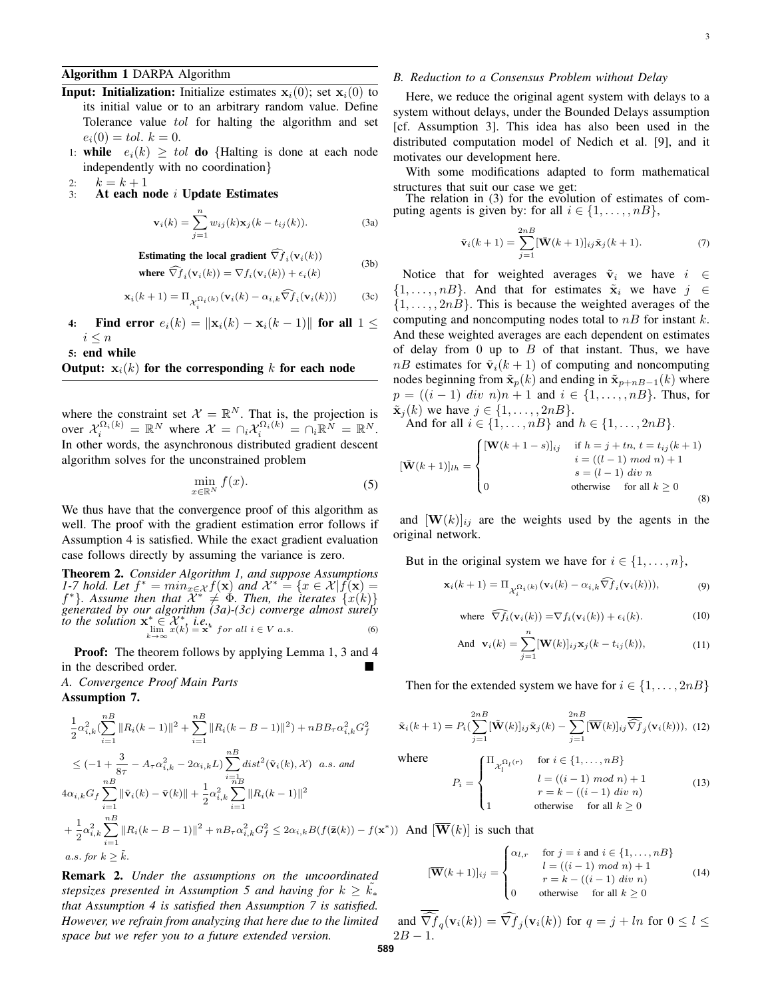## Algorithm 1 DARPA Algorithm

- **Input: Initialization:** Initialize estimates  $x_i(0)$ ; set  $x_i(0)$  to its initial value or to an arbitrary random value. Define Tolerance value tol for halting the algorithm and set  $e_i(0) = tol, k = 0.$
- 1: while  $e_i(k) \geq tol$  do {Halting is done at each node independently with no coordination}
- 2:  $k = k + 1$ <br>3: At each n
- At each node i Update Estimates

$$
\mathbf{v}_i(k) = \sum_{j=1}^n w_{ij}(k)\mathbf{x}_j(k - t_{ij}(k)).
$$
 (3a)

Estimating the local gradient 
$$
\widehat{\nabla f}_i(\mathbf{v}_i(k))
$$
 (3b)

where 
$$
\widehat{\nabla f}_i(\mathbf{v}_i(k)) = \nabla f_i(\mathbf{v}_i(k)) + \epsilon_i(k)
$$

$$
\mathbf{x}_{i}(k+1) = \Pi_{\mathcal{X}_{i}^{\Omega_{i}(k)}}(\mathbf{v}_{i}(k) - \alpha_{i,k}\widehat{\nabla f}_{i}(\mathbf{v}_{i}(k)))
$$
 (3c)

4: Find error  $e_i(k) = ||\mathbf{x}_i(k) - \mathbf{x}_i(k-1)||$  for all  $1 \leq$  $i \leq n$ 

5: end while

## Output:  $x_i(k)$  for the corresponding k for each node

where the constraint set  $\mathcal{X} = \mathbb{R}^N$ . That is, the projection is over  $\mathcal{X}_i^{\Omega_i(k)} = \mathbb{R}^N$  where  $\mathcal{X} = \cap_i \mathcal{X}_i^{\Omega_i(k)} = \cap_i \mathbb{R}^N = \mathbb{R}^N$ . In other words, the asynchronous distributed gradient descent algorithm solves for the unconstrained problem

$$
\min_{x \in \mathbb{R}^N} f(x). \tag{5}
$$

We thus have that the convergence proof of this algorithm as well. The proof with the gradient estimation error follows if Assumption 4 is satisfied. While the exact gradient evaluation case follows directly by assuming the variance is zero.

Theorem 2. *Consider Algorithm 1, and suppose Assumptions 1-7 hold. Let*  $f^* = min_{x \in \mathcal{X}} f(\mathbf{x})$  *and*  $\mathcal{X}^* = \{x \in \mathcal{X} | f(\mathbf{x}) =$  $f^*$ }. Assume then that  $\mathcal{X}^* \neq \Phi$ . Then, the iterates  $\{x(k)\}$ *generated by our algorithm (3a)-(3c) converge almost surely to the solution*  $\mathbf{x}^* \in \mathcal{X}^*$ , *i.e.*,  $\lim_{k \to \infty} x(k) = \mathbf{x}^*$  for all  $i \in V$  a.s. (6)

Proof: The theorem follows by applying Lemma 1, 3 and 4 in the described order.

*A. Convergence Proof Main Parts*

Assumption 7.

$$
\frac{1}{2}\alpha_{i,k}^{2}(\sum_{i=1}^{n}||R_{i}(k-1)||^{2} + \sum_{i=1}^{n}||R_{i}(k-B-1)||^{2}) + nBB_{\tau}\alpha_{i,k}^{2}G_{f}^{2}
$$
\n
$$
\leq (-1 + \frac{3}{8\tau} - A_{\tau}\alpha_{i,k}^{2} - 2\alpha_{i,k}L)\sum_{\substack{i=1\\nB}}^{nB} dist^{2}(\tilde{\mathbf{v}}_{i}(k), \mathcal{X}) \quad a.s. \text{ and}
$$
\n
$$
4\alpha_{i,k}G_{f}\sum_{i=1}^{nB}||\tilde{\mathbf{v}}_{i}(k) - \bar{\mathbf{v}}(k)|| + \frac{1}{2}\alpha_{i,k}^{2}\sum_{i=1}^{nB}||R_{i}(k-1)||^{2}
$$
\n
$$
+ \frac{1}{2}\alpha_{i,k}^{2}\sum_{i=1}^{nB}||R_{i}(k-B-1)||^{2} + nB_{\tau}\alpha_{i,k}^{2}G_{f}^{2} \leq 2\alpha_{i,k}B(f(\bar{\mathbf{z}}(k)) - f(\mathbf{x}^{*}))
$$
\n
$$
a.s. \text{ for } k \geq \tilde{k}.
$$

Remark 2. *Under the assumptions on the uncoordinated stepsizes presented in Assumption 5 and having for*  $k \geq k_*$ *that Assumption 4 is satisfied then Assumption 7 is satisfied. However, we refrain from analyzing that here due to the limited space but we refer you to a future extended version.*

## *B. Reduction to a Consensus Problem without Delay*

Here, we reduce the original agent system with delays to a system without delays, under the Bounded Delays assumption [cf. Assumption 3]. This idea has also been used in the distributed computation model of Nedich et al. [9], and it motivates our development here.

With some modifications adapted to form mathematical structures that suit our case we get:

The relation in (3) for the evolution of estimates of computing agents is given by: for all  $i \in \{1, \ldots, nB\}$ ,

$$
\tilde{\mathbf{v}}_i(k+1) = \sum_{j=1}^{2n} [\bar{\mathbf{W}}(k+1)]_{ij} \tilde{\mathbf{x}}_j(k+1). \tag{7}
$$

Notice that for weighted averages  $\tilde{v}_i$  we have  $i \in$  $\{1, \ldots, n\}$ . And that for estimates  $\tilde{\mathbf{x}}_i$  we have  $j \in$  $\{1, \ldots, 2nB\}$ . This is because the weighted averages of the computing and noncomputing nodes total to  $nB$  for instant k. And these weighted averages are each dependent on estimates of delay from 0 up to  $B$  of that instant. Thus, we have  $nB$  estimates for  $\tilde{\mathbf{v}}_i(k+1)$  of computing and noncomputing nodes beginning from  $\tilde{\mathbf{x}}_p(k)$  and ending in  $\tilde{\mathbf{x}}_{p+nB-1}(k)$  where  $p = ((i - 1) \; div \; n)n + 1$  and  $i \in \{1, ..., nB\}$ . Thus, for  $\tilde{\mathbf{x}}_i(k)$  we have  $j \in \{1, \ldots, 2nB\}.$ And for all  $i \in \{1, ..., nB\}$  and  $h \in \{1, ..., 2nB\}$ .

$$
[\mathbf{\bar{W}}(k+1)]_{lh} = \begin{cases} [\mathbf{W}(k+1-s)]_{ij} & \text{if } h = j+tn, t = t_{ij}(k+1) \\ i = ((l-1) \mod n) + 1 \\ 0 & \text{otherwise} \quad \text{for all } k \ge 0 \end{cases}
$$

(8) and  $[\mathbf{W}(k)]_{ij}$  are the weights used by the agents in the original network.

But in the original system we have for  $i \in \{1, \ldots, n\}$ ,

$$
\mathbf{x}_{i}(k+1) = \Pi_{\mathcal{X}_{i}^{\Omega_{i}(k)}}(\mathbf{v}_{i}(k) - \alpha_{i,k}\widehat{\nabla f}_{i}(\mathbf{v}_{i}(k))),
$$
\n(9)

where 
$$
\widehat{\nabla f_i}(\mathbf{v}_i(k)) = \nabla f_i(\mathbf{v}_i(k)) + \epsilon_i(k).
$$
 (10)

otherwise for all  $k > 0$ 

And 
$$
\mathbf{v}_i(k) = \sum_{j=1}^n [\mathbf{W}(k)]_{ij} \mathbf{x}_j(k - t_{ij}(k)),
$$
 (11)

Then for the extended system we have for  $i \in \{1, \ldots, 2nB\}$ 

$$
\tilde{\mathbf{x}}_i(k+1) = P_i(\sum_{j=1}^{2n} [\tilde{\mathbf{W}}(k)]_{ij} \tilde{\mathbf{x}}_j(k) - \sum_{j=1}^{2n} [\overline{\mathbf{W}}(k)]_{ij} \overline{\widehat{\nabla} f}_j(\mathbf{v}_i(k))), \tag{12}
$$

where

And  $[\overline{\mathbf{W}}(k)]$  is such that

$$
P_i = \begin{cases} \n\Pi_{\mathcal{X}_l^{\Omega_l(r)}} & \text{for } i \in \{1, \dots, n\} \\ \n0. \quad l = ((i-1) \mod n) + 1 \\ \n0. \quad r = k - ((i-1) \dim n) \\ \n1. \quad \text{otherwise} & \text{for all } k \ge 0 \n\end{cases} \tag{13}
$$

$$
[\overline{\mathbf{W}}(k+1)]_{ij} = \begin{cases} \alpha_{l,r} & \text{for } j = i \text{ and } i \in \{1, \dots, n\} \\ l = ((i-1) \mod n) + 1 \\ r = k - ((i-1) \dim n) \\ 0 & \text{otherwise} \quad \text{for all } k \ge 0 \end{cases} \tag{14}
$$

and  $\nabla f_q(\mathbf{v}_i(k)) = \nabla f_j(\mathbf{v}_i(k))$  for  $q = j + ln$  for  $0 \le l \le n$  $2B - 1.$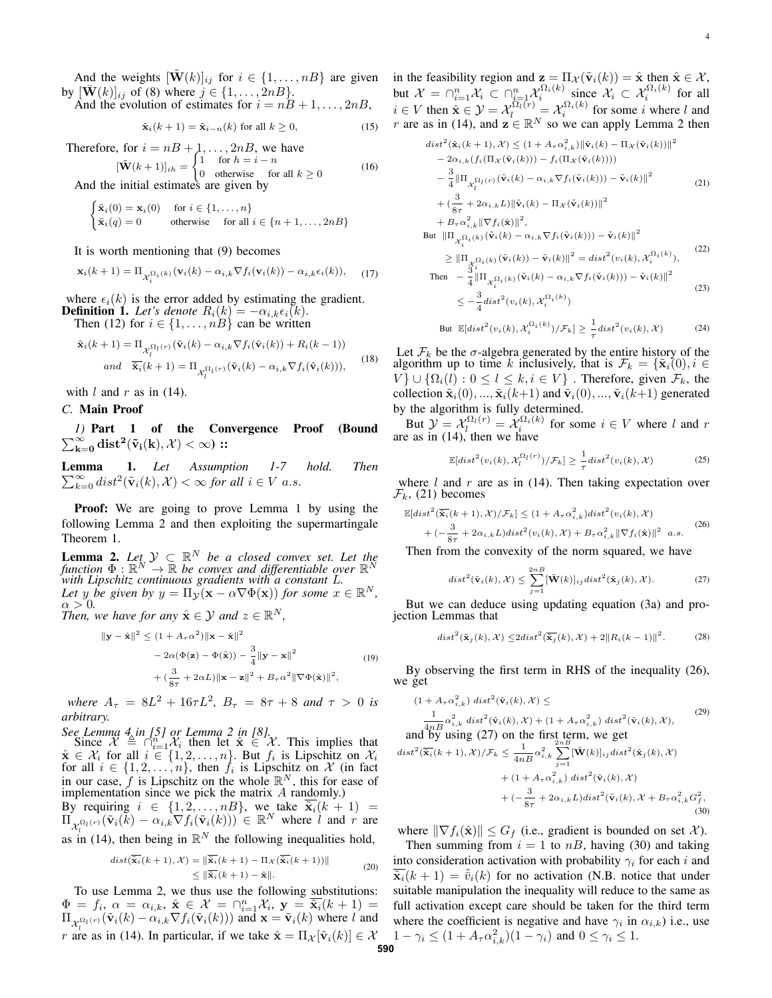And the weights  $[\mathbf{W}(k)]_{ij}$  for  $i \in \{1, \ldots, n\}$  are given by  $[\mathbf{W}(k)]_{ij}$  of (8) where  $j \in \{1, ..., 2nB\}$ .

And the evolution of estimates for  $i = nB + 1, \ldots, 2nB$ ,

$$
\tilde{\mathbf{x}}_i(k+1) = \tilde{\mathbf{x}}_{i-n}(k) \text{ for all } k \ge 0,
$$
\n(15)

Therefore, for  $i = nB + 1, \ldots, 2nB$ , we have  $[\tilde{\mathbf{W}}(k+1)]_{ih} = \begin{cases} 1 & \text{for } h = i - n \\ 0 & \text{otherwise} \end{cases}$ 

0 otherwise for all  $k \ge 0$ (16) And the initial estimates are given by

$$
\begin{cases} \tilde{\mathbf{x}}_i(0) = \mathbf{x}_i(0) & \text{for } i \in \{1, \dots, n\} \\ \tilde{\mathbf{x}}_i(q) = 0 & \text{otherwise} \quad \text{for all } i \in \{n+1, \dots, 2n\} \end{cases}
$$

It is worth mentioning that (9) becomes

$$
\mathbf{x}_{i}(k+1) = \Pi_{\mathcal{X}_{i}^{\Omega_{i}(k)}}(\mathbf{v}_{i}(k) - \alpha_{i,k}\nabla f_{i}(\mathbf{v}_{i}(k)) - \alpha_{i,k}\epsilon_{i}(k)), \quad (17)
$$

where  $\epsilon_i(k)$  is the error added by estimating the gradient. **Definition 1.** Let's denote  $R_i(k) = -\alpha_{i,k} \epsilon_i(k)$ .

Then (12) for  $i \in \{1, \ldots, nB\}$  can be written

$$
\tilde{\mathbf{x}}_i(k+1) = \Pi_{\mathcal{X}_l^{\Omega_l(r)}}(\tilde{\mathbf{v}}_i(k) - \alpha_{i,k}\nabla f_i(\tilde{\mathbf{v}}_i(k)) + R_i(k-1))
$$
  
and 
$$
\overline{\tilde{\mathbf{x}}_i}(k+1) = \Pi_{\mathcal{X}_l^{\Omega_l(r)}}(\tilde{\mathbf{v}}_i(k) - \alpha_{i,k}\nabla f_i(\tilde{\mathbf{v}}_i(k))),
$$
 (18)

with  $l$  and  $r$  as in (14).

## *C.* Main Proof

 $\sum_{\mathbf{k}=\mathbf{0}}^{\infty} \mathbf{dist^2}(\mathbf{\tilde{v}_i(k)}, \mathcal{X}) < \infty)$  :: *1)* Part 1 of the Convergence Proof (Bound

**Lemma**  $\sum_{k=0}^{\infty} dist^2(\tilde{\mathbf{v}}_i(k), \mathcal{X}) < \infty$  for all  $i \in V$  a.s. *Let Assumption 1-7 hold. Then*

**Proof:** We are going to prove Lemma 1 by using the following Lemma 2 and then exploiting the supermartingale Theorem 1.

**Lemma 2.** Let<sub>x</sub>  $\mathcal{Y} \subset \mathbb{R}^N$  be a closed convex set. Let the *function*  $\Phi : \mathbb{R}^N \to \mathbb{R}$  *be convex and differentiable over*  $\mathbb{R}^N$ *with Lipschitz continuous gradients with a constant* L*.* Let y be given by  $y = \Pi_y(x - \alpha \nabla \Phi(x))$  for some  $x \in \mathbb{R}^N$ ,  $\alpha > 0$ .

*Then, we have for any*  $\hat{\mathbf{x}} \in \mathcal{Y}$  *and*  $z \in \mathbb{R}^N$ *,* 

$$
\|\mathbf{y} - \hat{\mathbf{x}}\|^2 \le (1 + A_\tau \alpha^2) \|\mathbf{x} - \hat{\mathbf{x}}\|^2
$$
  
- 2\alpha(\Phi(\mathbf{z}) - \Phi(\hat{\mathbf{x}})) - \frac{3}{4} \|\mathbf{y} - \mathbf{x}\|^2  
+ (\frac{3}{8\tau} + 2\alpha L) \|\mathbf{x} - \mathbf{z}\|^2 + B\_\tau \alpha^2 \|\nabla \Phi(\hat{\mathbf{x}})\|^2, (19)

*where*  $A_{\tau} = 8L^2 + 16\tau L^2$ ,  $B_{\tau} = 8\tau + 8$  *and*  $\tau > 0$  *is arbitrary.*

See Lemma 4 in [5] or Lemma 2 in [8].<br>
Since  $\mathcal{X} \triangleq \bigcap_{i=1}^{n} \mathcal{X}_i$  then let  $\hat{\mathbf{x}} \in \mathcal{X}$ . This implies that  $\hat{\mathbf{x}} \in \mathcal{X}_i$  for all  $i \in \{1, 2, ..., n\}$ . But  $f_i$  is Lipschitz on  $\mathcal{X}_i$ for all  $i \in \{1, 2, \ldots, n\}$ , then  $f_i$  is Lipschitz on X (in fact in our case,  $f$  is Lipschitz on the whole  $\mathbb{R}^N$ , this for ease of implementation since we pick the matrix A randomly.)

By requiring  $i \in \{1, 2, \ldots, n$ , we take  $\tilde{\mathbf{x}}_i(k+1)$  =  $\Pi_{\mathcal{X}_l^{\Omega_l(r)}}(\tilde{\mathbf{v}}_i(\tilde{k}) - \alpha_{i,k} \nabla f_i(\tilde{\mathbf{v}}_i(k))) \in \mathbb{R}^N$  where  $\tilde{l}$  and  $r$  are as in (14), then being in  $\mathbb{R}^N$  the following inequalities hold,

$$
dist(\overline{\mathbf{\tilde{x}}_i}(k+1), \mathcal{X}) = \|\overline{\mathbf{\tilde{x}}_i}(k+1) - \Pi_{\mathcal{X}}(\overline{\mathbf{\tilde{x}}_i}(k+1))\|
$$
  
\n
$$
\leq \|\overline{\mathbf{\tilde{x}}_i}(k+1) - \mathbf{\hat{x}}\|.
$$
\n(20)

To use Lemma 2, we thus use the following substitutions:  $\Phi = f_i, \, \alpha = \alpha_{i,k}, \, \hat{\mathbf{x}} \in \mathcal{X} = \bigcap_{i=1}^n \mathcal{X}_i, \, \mathbf{y} = \overline{\tilde{\mathbf{x}}_i}(k+1) =$  $\Pi_{\chi_i^{\Omega_l(r)}}(\tilde{\mathbf{v}}_i(k) - \alpha_{i,k} \nabla f_i(\tilde{\mathbf{v}}_i(k)))$  and  $\mathbf{x} = \tilde{\mathbf{v}}_i(k)$  where l and *r* are as in (14). In particular, if we take  $\hat{\mathbf{x}} = \Pi_{\mathcal{X}}[\tilde{\mathbf{v}}_i(k)] \in \mathcal{X}$   $1 - \gamma_i \leq (1 + A_{\tau} \alpha_{i,k}^2)(1 - \gamma_i)$  and  $0 \leq \gamma_i \leq 1$ .

in the feasibility region and  $\mathbf{z} = \Pi_{\mathcal{X}}(\tilde{\mathbf{v}}_i(k)) = \hat{\mathbf{x}}$  then  $\hat{\mathbf{x}} \in \mathcal{X}$ , but  $\mathcal{X} = \bigcap_{i=1}^n \mathcal{X}_i \subset \bigcap_{i=1}^n \mathcal{X}_i^{\Omega_i(k)}$  since  $\mathcal{X}_i \subset \mathcal{X}_i^{\Omega_i(k)}$  for all  $i \in V$  then  $\hat{\mathbf{x}} \in \mathcal{Y} = \mathcal{X}_l^{\Omega_l(r)} = \mathcal{X}_i^{\Omega_i(k)}$  for some i where l and r are as in (14), and  $z \in \mathbb{R}^N$  so we can apply Lemma 2 then

$$
dist^{2}(\tilde{\mathbf{x}}_{i}(k+1), \mathcal{X}) \leq (1 + A_{\tau} \alpha_{i,k}^{2}) ||\tilde{\mathbf{v}}_{i}(k) - \Pi_{\mathcal{X}}(\tilde{\mathbf{v}}_{i}(k))||^{2}
$$
  
\n
$$
- 2\alpha_{i,k} (f_{i}(\Pi_{\mathcal{X}}(\tilde{\mathbf{v}}_{i}(k))) - f_{i}(\Pi_{\mathcal{X}}(\tilde{\mathbf{v}}_{i}(k))))
$$
  
\n
$$
- \frac{3}{4} ||\Pi_{\mathcal{X}_{i}^{\Omega_{l}}(r)}(\tilde{\mathbf{v}}_{i}(k) - \alpha_{i,k} \nabla f_{i}(\tilde{\mathbf{v}}_{i}(k))) - \tilde{\mathbf{v}}_{i}(k) ||^{2}
$$
  
\n
$$
+ (\frac{3}{8\tau} + 2\alpha_{i,k} L) ||\tilde{\mathbf{v}}_{i}(k) - \Pi_{\mathcal{X}}(\tilde{\mathbf{v}}_{i}(k))||^{2}
$$
  
\n
$$
+ B_{\tau} \alpha_{i,k}^{2} ||\nabla f_{i}(\hat{\mathbf{x}})||^{2}, \qquad (21)
$$

But 
$$
\|\Pi_{\mathcal{X}_{i}^{\Omega_{i}(k)}}(\tilde{\mathbf{v}}_{i}(k) - \alpha_{i,k}\nabla f_{i}(\tilde{\mathbf{v}}_{i}(k))) - \tilde{\mathbf{v}}_{i}(k)\|^{2}
$$
  
\n
$$
\geq \|\Pi_{\mathcal{X}_{i}^{\Omega_{i}(k)}}(\tilde{\mathbf{v}}_{i}(k)) - \tilde{\mathbf{v}}_{i}(k)\|^{2} = dist^{2}(v_{i}(k), \mathcal{X}_{i}^{\Omega_{i}(k)}),
$$
\n(22)

$$
\begin{split} \text{Then} \quad &= \frac{\mathcal{X}_{i}^{i_{1}}(k)}{4} \left\| \Pi_{\mathcal{X}_{i}^{\Omega_{i}}(k)}(\tilde{\mathbf{v}}_{i}(k) - \alpha_{i,k} \nabla f_{i}(\tilde{\mathbf{v}}_{i}(k))) - \tilde{\mathbf{v}}_{i}(k) \right\|^{2} \\ &\leq -\frac{3}{4} \operatorname{dist}^{2}(v_{i}(k), \mathcal{X}_{i}^{\Omega_{i}(k)}) \end{split} \tag{23}
$$

But 
$$
\mathbb{E}[dist^2(v_i(k), \mathcal{X}_i^{\Omega_i(k)})/\mathcal{F}_k] \ge \frac{1}{\tau} dist^2(v_i(k), \mathcal{X})
$$
 (24)

Let  $\mathcal{F}_k$  be the  $\sigma$ -algebra generated by the entire history of the algorithm up to time k inclusively, that is  $\mathcal{F}_k = {\tilde{\mathbf{x}}_i(0), i \in \mathbb{R}^d}$  $V$ }  $\cup$  { $\Omega_i(l)$  :  $0 \le l \le k, i \in V$ }. Therefore, given  $\mathcal{F}_k$ , the collection  $\tilde{\mathbf{x}}_i(0), ..., \tilde{\mathbf{x}}_i(k+1)$  and  $\tilde{\mathbf{v}}_i(0), ..., \tilde{\mathbf{v}}_i(k+1)$  generated by the algorithm is fully determined.

But  $\mathcal{Y} = \mathcal{X}_i^{\Omega_i(r)} = \mathcal{X}_i^{\Omega_i(k)}$  for some  $i \in V$  where l and r are as in (14), then we have

$$
\mathbb{E}[dist^2(v_i(k), \mathcal{X}_l^{\Omega_l(r)})/\mathcal{F}_k] \ge \frac{1}{\tau} dist^2(v_i(k), \mathcal{X})
$$
\n(25)

where  $l$  and  $r$  are as in (14). Then taking expectation over  $\mathcal{F}_k$ , (21) becomes

$$
\mathbb{E}[dist^{2}(\overline{\mathbf{x}}_{i}(k+1), \mathcal{X})/\mathcal{F}_{k}] \leq (1 + A_{\tau}\alpha_{i,k}^{2})dist^{2}(v_{i}(k), \mathcal{X}) + (-\frac{3}{8\tau} + 2\alpha_{i,k}L)dist^{2}(v_{i}(k), \mathcal{X}) + B_{\tau}\alpha_{i,k}^{2}||\nabla f_{i}(\hat{\mathbf{x}})||^{2} a.s.
$$
\n(26)

Then from the convexity of the norm squared, we have

$$
dist^{2}(\tilde{\mathbf{v}}_{i}(k), \mathcal{X}) \leq \sum_{j=1}^{2n} [\tilde{\mathbf{W}}(k)]_{ij} dist^{2}(\tilde{\mathbf{x}}_{j}(k), \mathcal{X}). \tag{27}
$$

But we can deduce using updating equation (3a) and projection Lemmas that

$$
dist^{2}(\tilde{\mathbf{x}}_{j}(k), \mathcal{X}) \leq 2dist^{2}(\overline{\tilde{\mathbf{x}}_{j}}(k), \mathcal{X}) + 2\|R_{i}(k-1)\|^{2}.
$$
 (28)

By observing the first term in RHS of the inequality (26), we get

$$
(1 + A_{\tau}\alpha_{i,k}^2) \text{ dist}^2(\tilde{\mathbf{v}}_i(k), \mathcal{X}) \le
$$
  
\n
$$
\frac{1}{4nB}\alpha_{i,k}^2 \text{ dist}^2(\tilde{\mathbf{v}}_i(k), \mathcal{X}) + (1 + A_{\tau}\alpha_{i,k}^2) \text{ dist}^2(\tilde{\mathbf{v}}_i(k), \mathcal{X}),
$$
  
\nand by using (27) on the first term, we get

$$
dist^{2}(\overline{\mathbf{\tilde{x}}_{i}}(k+1), \mathcal{X})/\mathcal{F}_{k} \leq \frac{1}{4nB} \alpha_{i,k}^{2} \sum_{j=1}^{2nB} [\tilde{\mathbf{W}}(k)]_{ij} dist^{2}(\tilde{\mathbf{x}}_{j}(k), \mathcal{X})
$$

$$
+ (1 + A_{\tau} \alpha_{i,k}^{2}) dist^{2}(\tilde{\mathbf{v}}_{i}(k), \mathcal{X})
$$

$$
+ (-\frac{3}{8\tau} + 2\alpha_{i,k}L) dist^{2}(\tilde{\mathbf{v}}_{i}(k), \mathcal{X} + B_{\tau} \alpha_{i,k}^{2} G_{f}^{2},
$$
(30)

where  $\|\nabla f_i(\hat{\mathbf{x}})\| \leq G_f$  (i.e., gradient is bounded on set X).

Then summing from  $i = 1$  to  $nB$ , having (30) and taking into consideration activation with probability  $\gamma_i$  for each i and  $\tilde{\mathbf{x}}_i(k+1) = \tilde{\bar{v}}_i(k)$  for no activation (N.B. notice that under suitable manipulation the inequality will reduce to the same as full activation except care should be taken for the third term where the coefficient is negative and have  $\gamma_i$  in  $\alpha_{i,k}$ ) i.e., use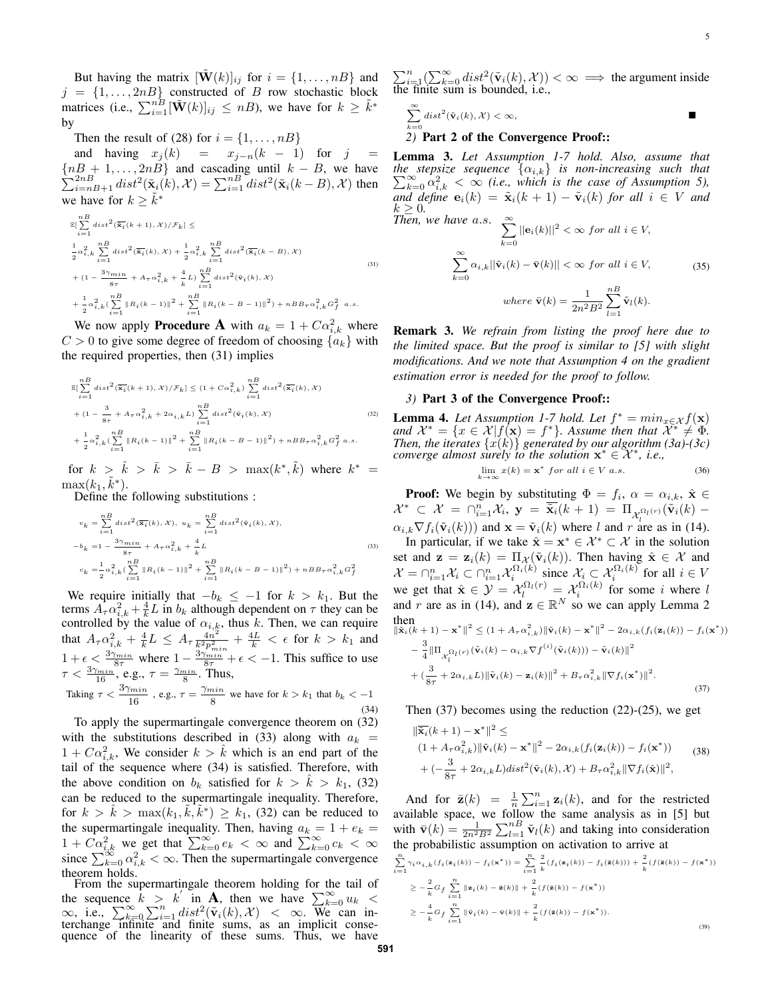But having the matrix  $[\mathbf{W}(k)]_{ij}$  for  $i = \{1, \dots, n\}$  and  $j = \{1, \ldots, 2nB\}$  constructed of B row stochastic block matrices (i.e.,  $\sum_{i=1}^{n\overline{B}} [\tilde{\mathbf{W}}(k)]_{ij} \leq nB$ ), we have for  $k \geq \tilde{k}^*$ by

Then the result of (28) for  $i = \{1, \ldots, nB\}$ 

and having  $x_j(k) = x_{j-n}(k-1)$  for  $j =$ P  ${nB + 1, ..., 2nB}$  and cascading until  $k - B$ , we have  $\sum_{i=n}^{2n} dist^2(\tilde{\mathbf{x}}_i(k), \mathcal{X}) = \sum_{i=1}^{n} dist^2(\tilde{\mathbf{x}}_i(k - B), \mathcal{X})$  then we have for  $k \geq \tilde{k}^*$ 

$$
\mathbb{E}[\sum_{i=1}^{n} dist^{2}(\overline{\mathbf{x}}_{i}(k+1), \mathcal{X}) / \mathcal{F}_{k}] \leq
$$
\n
$$
\frac{1}{2}\alpha_{i,k}^{2} \sum_{i=1}^{n} dist^{2}(\overline{\mathbf{x}}_{i}(k), \mathcal{X}) + \frac{1}{2}\alpha_{i,k}^{2} \sum_{i=1}^{n} dist^{2}(\overline{\mathbf{x}}_{i}(k-B), \mathcal{X})
$$
\n
$$
+ (1 - \frac{3\gamma_{min}}{8\tau} + A_{\tau}\alpha_{i,k}^{2} + \frac{4}{k}L) \sum_{i=1}^{n} dist^{2}(\mathbf{\tilde{v}}_{i}(k), \mathcal{X})
$$
\n
$$
+ \frac{1}{2}\alpha_{i,k}^{2} (\sum_{i=1}^{n} ||R_{i}(k-1)||^{2} + \sum_{i=1}^{n} ||R_{i}(k-B-1)||^{2}) + nBB_{\tau}\alpha_{i,k}^{2} G_{f}^{2} \text{ a.s.}
$$
\n(31)

We now apply **Procedure A** with  $a_k = 1 + C\alpha_{i,k}^2$  where  $C > 0$  to give some degree of freedom of choosing  $\{a_k\}$  with the required properties, then (31) implies

$$
\mathbb{E}\left[\sum_{i=1}^{n} dist^{2}(\overline{\mathbf{x}}_{i}(k+1), \mathcal{X})/\mathcal{F}_{k}\right] \leq (1 + C\alpha_{i,k}^{2}) \sum_{i=1}^{n} dist^{2}(\overline{\mathbf{x}}_{i}(k), \mathcal{X}) + (1 - \frac{3}{8\tau} + A_{\tau}\alpha_{i,k}^{2} + 2\alpha_{i,k}L) \sum_{i=1}^{n} dist^{2}(\mathbf{\tilde{v}}_{i}(k), \mathcal{X}) + \frac{1}{2}\alpha_{i,k}^{2}(\sum_{i=1}^{n} ||R_{i}(k-1)||^{2} + \sum_{i=1}^{n} ||R_{i}(k-B-1)||^{2}) + nBB_{\tau}\alpha_{i,k}^{2}G_{f}^{2} a.s.
$$
\n(32)

for  $k > \hat{k} > \bar{k} > \bar{k} - B > \max(k^*, \tilde{k})$  where  $k^* =$  $\max(k_1, \tilde{k}^*)$ .

Define the following substitutions :

$$
v_k = \sum_{i=1}^{n} dist^2(\overline{\mathbf{x}}_i(k), \mathcal{X}), \quad u_k = \sum_{i=1}^{n} dist^2(\mathbf{\tilde{v}}_i(k), \mathcal{X}),
$$
  
\n
$$
-b_k = 1 - \frac{3\gamma_{min}}{s\tau} + A_\tau \alpha_{i,k}^2 + \frac{4}{k}L
$$
  
\n
$$
c_k = \frac{1}{2}\alpha_{i,k}^2 (\sum_{i=1}^{n} \|R_i(k-1)\|^2 + \sum_{i=1}^{n} \|R_i(k-B-1)\|^2) + nBB_\tau \alpha_{i,k}^2 G_f^2
$$
\n(33)

We require initially that  $-b_k \leq -1$  for  $k > k_1$ . But the terms  $A_{\tau} \alpha_{i,k}^2 + \frac{4}{k} L$  in  $b_k$  although dependent on  $\tau$  they can be controlled by the value of  $\alpha_{i,k}$ , thus k. Then, we can require that  $A_{\tau} \alpha_{i,k}^2 + \frac{4}{k} L \leq A_{\tau} \frac{4n^2}{k^2 p_m^2}$  $\frac{4n^2}{k^2p_{min}^2} + \frac{4L}{k} < \epsilon$  for  $k > k_1$  and  $1+\epsilon \leq \frac{3\gamma_{min}}{8\tau}$  where  $1-\frac{3\gamma_{min}}{8\tau}+\epsilon < -1$ . This suffice to use  $\tau < \frac{3\gamma_{min}}{16}$ , e.g.,  $\tau = \frac{\gamma_{min}}{8}$ . Thus, Taking  $\tau < \frac{3\gamma_{min}}{12}$  $\frac{\gamma_{min}}{16}$ , e.g.,  $\tau = \frac{\gamma_{min}}{8}$  $\frac{m n}{8}$  we have for  $k > k_1$  that  $b_k < -1$ (34)

To apply the supermartingale convergence theorem on (32) with the substitutions described in (33) along with  $a_k =$  $1 + C\alpha_{i,k}^2$ , We consider  $k > \hat{k}$  which is an end part of the tail of the sequence where (34) is satisfied. Therefore, with the above condition on  $b_k$  satisfied for  $k > k_1$ , (32) can be reduced to the supermartingale inequality. Therefore, for  $k > \hat{k} > \max(k_1, \tilde{k}, \tilde{k}^*) \geq k_1$ , (32) can be reduced to the supermartingale inequality. Then, having  $a_k = 1 + e_k =$  $1 + \tilde{C} \alpha_{i,k}^2$  we get that  $\sum_{k=0}^{\infty} e_k < \infty$  and  $\sum_{k=0}^{\infty} c_k < \infty$ since  $\sum_{k=0}^{\infty} \alpha_{i,k}^2 < \infty$ . Then the supermartingale convergence theorem holds.

From the supermartingale theorem holding for the tail of the sequence  $k > k'$  in A, then we have  $\sum_{k=0}^{\infty} u_k <$  $\infty$ , i.e.,  $\sum_{k=0}^{\infty}\sum_{i=1}^{n} dist^{2}(\tilde{\mathbf{v}}_{i}(k),\mathcal{X}) < \infty$ . We can interchange infinite and finite sums, as an implicit consequence of the linearity of these sums. Thus, we have  $\sum_{i=1}^{n} (\sum_{k=0}^{\infty} dist^2(\tilde{\mathbf{v}}_i(k), \mathcal{X})) < \infty \implies$  the argument inside the finite sum is bounded, i.e.,

$$
\sum_{k=0}^{\infty} dist^2(\tilde{\mathbf{v}}_i(k), \mathcal{X}) < \infty,
$$

## *2)* Part 2 of the Convergence Proof::

Lemma 3. *Let Assumption 1-7 hold. Also, assume that*  $\sum_{k=0}^{\infty} \alpha_{i,k}^2 < \infty$  (i.e., which is the case of Assumption 5), *the stepsize sequence*  $\{\alpha_{i,k}\}\$  *is non-increasing such that and define*  $e_i(k) = \tilde{x}_i(k+1) - \tilde{v}_i(k)$  *for all*  $i \in V$  *and*  $k \geq 0$ .

Then, we have a.s. 
$$
\sum_{k=0}^{\infty} ||\mathbf{e}_i(k)||^2 < \infty \text{ for all } i \in V,
$$

$$
\sum_{k=0}^{\infty} \alpha_{i,k} ||\tilde{\mathbf{v}}_i(k) - \bar{\mathbf{v}}(k)|| < \infty \text{ for all } i \in V,
$$
(35)
$$
where \ \bar{\mathbf{v}}(k) = \frac{1}{2n^2 B^2} \sum_{l=1}^{n B} \tilde{\mathbf{v}}_l(k).
$$

Remark 3. *We refrain from listing the proof here due to the limited space. But the proof is similar to [5] with slight modifications. And we note that Assumption 4 on the gradient estimation error is needed for the proof to follow.*

#### *3)* Part 3 of the Convergence Proof::

**Lemma 4.** Let Assumption 1-7 hold. Let  $f^* = min_{x \in \mathcal{X}} f(\mathbf{x})$ and  $\mathcal{X}^* = \{x \in \mathcal{X} | f(\mathbf{x}) = f^*\}$ . Assume then that  $\mathcal{X}^* \neq \Phi$ . *Then, the iterates*  $\{x(k)\}$  *generated by our algorithm (3a)-(3c) converge almost surely to the solution*  $\mathbf{x}^* \in \mathcal{X}^*$ , *i.e.*,  $\lim_{k \to \infty} x(k) = \mathbf{x}^*$  for all  $i \in V$  a.s. (36)

**Proof:** We begin by substituting 
$$
\Phi = f_i
$$
,  $\alpha = \alpha_{i,k}$ ,  $\hat{\mathbf{x}} \in \mathbb{R}^n$  and  $\alpha_{i,k} \in \mathbb{R}^n$ .

 $\mathcal{X}^* \subset \mathcal{X} = \bigcap_{i=1}^n \mathcal{X}_i, \ \mathbf{y} = \overline{\widetilde{\mathbf{x}}_i}(k+1) = \Pi_{\mathcal{X}_l^{\Omega_l(r)}}(\widetilde{\mathbf{v}}_i(k) \alpha_{i,k} \nabla f_i(\tilde{\mathbf{v}}_i(k))$  and  $\mathbf{x} = \tilde{\mathbf{v}}_i(k)$  where l and r are as in (14). In particular, if we take  $\hat{\mathbf{x}} = \mathbf{x}^* \in \mathcal{X}^* \subset \mathcal{X}$  in the solution set and  $\mathbf{z} = \mathbf{z}_i(k) = \Pi_{\mathcal{X}}(\tilde{\mathbf{v}}_i(k))$ . Then having  $\hat{\mathbf{x}} \in \mathcal{X}$  and  $\mathcal{X} = \bigcap_{i=1}^n \mathcal{X}_i \subset \bigcap_{i=1}^n \mathcal{X}_i^{\Omega_i(k)}$  since  $\mathcal{X}_i \subset \mathcal{X}_i^{\Omega_i(k)}$  for all  $i \in V$ we get that  $\hat{\mathbf{x}} \in \mathcal{Y} = \mathcal{X}_l^{\Omega_l(r)} = \mathcal{X}_i^{\Omega_i(k)}$  for some i where l and r are as in (14), and  $z \in \mathbb{R}^N$  so we can apply Lemma 2 then  $\|\tilde{\mathbf{x}}_i(k+1) - \mathbf{x}^*\|^2 \leq (1 + A_\tau \alpha_{i,k}^2) \|\tilde{\mathbf{v}}_i(k) - \mathbf{x}^*\|^2 - 2\alpha_{i,k}(f_i(\mathbf{z}_i(k)) - f_i(\mathbf{x}^*))$  $-\frac{3}{4}$  $\frac{3}{4}\|\Pi_{\mathcal{X}_l^{\overline{\Omega}_l(r)}}(\tilde{\mathbf{v}}_i(k)-\alpha_{i,k}\nabla f^{(i)}(\tilde{\mathbf{v}}_i(k)))-\tilde{\mathbf{v}}_i(k)\|^2$ 

$$
+\left(\frac{3}{8\tau}+2\alpha_{i,k}L\right)\left\|\tilde{\mathbf{v}}_{i}(k)-\mathbf{z}_{i}(k)\right\|^{2}+B_{\tau}\alpha_{i,k}^{2}\left\|\nabla f_{i}(\mathbf{x}^{*})\right\|^{2}.
$$
\n(37)

Then  $(37)$  becomes using the reduction  $(22)-(25)$ , we get

$$
\begin{split} & \|\overline{\mathbf{\tilde{x}}_i}(k+1) - \mathbf{x}^*\|^2 \leq \\ & (1 + A_\tau \alpha_{i,k}^2) \|\tilde{\mathbf{v}}_i(k) - \mathbf{x}^*\|^2 - 2\alpha_{i,k} (f_i(\mathbf{z}_i(k)) - f_i(\mathbf{x}^*)) \\ & + (-\frac{3}{8\tau} + 2\alpha_{i,k}L) \text{dist}^2(\tilde{\mathbf{v}}_i(k), \mathcal{X}) + B_\tau \alpha_{i,k}^2 \|\nabla f_i(\hat{\mathbf{x}})\|^2, \end{split} \tag{38}
$$

And for  $\bar{\mathbf{z}}(k) = \frac{1}{n} \sum_{i=1}^{n} \mathbf{z}_i(k)$ , and for the restricted available space, we follow the same analysis as in  $[5]$  but with  $\bar{\mathbf{v}}(k) = \frac{1}{2n^2B^2} \sum_{l=1}^{nB} \tilde{\mathbf{v}}_l(k)$  and taking into consideration the probabilistic assumption on activation to arrive at

$$
\sum_{i=1}^{n} \gamma_i \alpha_{i,k} (f_i(\mathbf{z}_i(k)) - f_i(\mathbf{x}^*)) = \sum_{i=1}^{n} \frac{2}{k} (f_i(\mathbf{z}_i(k)) - f_i(\mathbf{z}(k))) + \frac{2}{k} (f(\mathbf{z}(k)) - f(\mathbf{x}^*))
$$
\n
$$
\geq -\frac{2}{k} G_f \sum_{i=1}^{n} \|\mathbf{z}_i(k) - \mathbf{z}(k)\| + \frac{2}{k} (f(\mathbf{z}(k)) - f(\mathbf{x}^*))
$$
\n
$$
\geq -\frac{4}{k} G_f \sum_{i=1}^{n} \|\tilde{\mathbf{v}}_i(k) - \mathbf{v}(k)\| + \frac{2}{k} (f(\mathbf{z}(k)) - f(\mathbf{x}^*)).
$$
\n(39)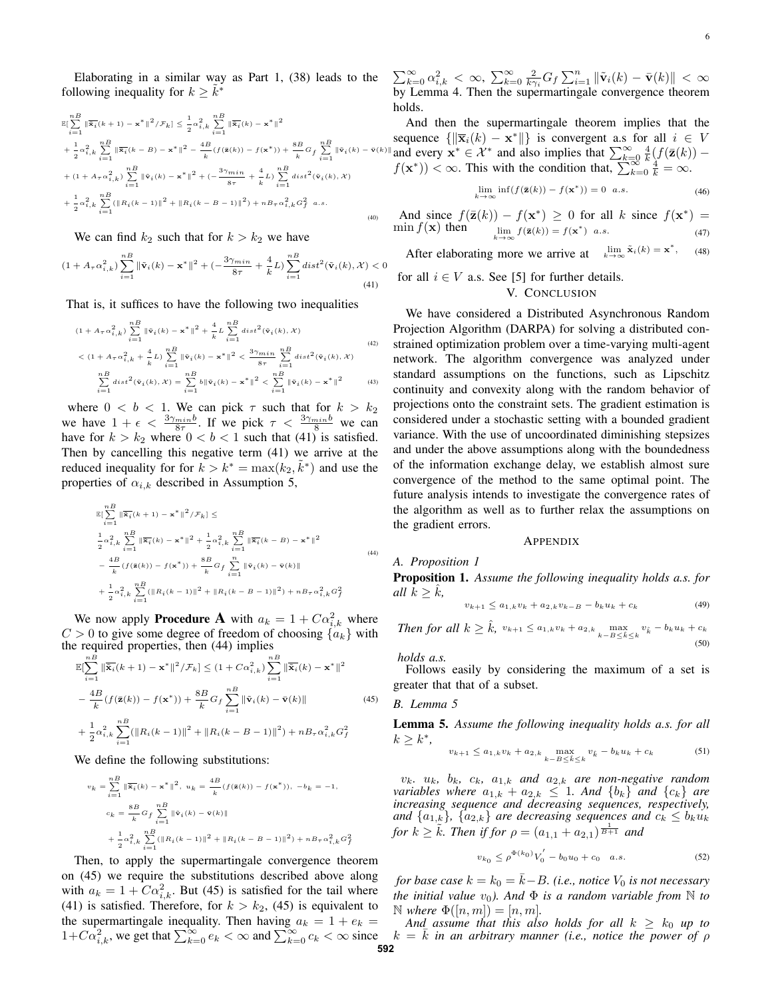Elaborating in a similar way as Part 1, (38) leads to the following inequality for  $k \geq \tilde{k}^*$ 

$$
\mathbb{E}\left[\sum_{i=1}^{nB} \|\overline{\dot{\mathbf{x}}_{i}}(k+1) - \mathbf{x}^{*}\|^{2}/\mathcal{F}_{k}\right] \leq \frac{1}{2} \alpha_{i,k}^{2} \sum_{i=1}^{nB} \|\overline{\dot{\mathbf{x}}_{i}}(k) - \mathbf{x}^{*}\|^{2}
$$
  
+  $\frac{1}{2} \alpha_{i,k}^{2} \sum_{i=1}^{B} \|\overline{\dot{\mathbf{x}}_{i}}(k-B) - \mathbf{x}^{*}\|^{2} - \frac{4B}{k} (f(\mathbf{z}(k)) - f(\mathbf{x}^{*})) + \frac{8B}{k} G_{f} \sum_{i=1}^{nB} \|\mathbf{v}_{i}(k) - \mathbf{v}(k) + (1 + A_{\tau} \alpha_{i,k}^{2}) \sum_{i=1}^{nB} \|\mathbf{v}_{i}(k) - \mathbf{x}^{*}\|^{2} + (-\frac{3\gamma_{min}}{8\tau} + \frac{4}{k}L) \sum_{i=1}^{nB} dist^{2}(\mathbf{\tilde{v}}_{i}(k), \mathcal{X})$   
+  $\frac{1}{2} \alpha_{i,k}^{2} \sum_{i=1}^{nB} (\|R_{i}(k-1)\|^{2} + \|R_{i}(k-B-1)\|^{2}) + nB_{\tau} \alpha_{i,k}^{2} G_{f}^{2} a.s.$   
(40)

We can find  $k_2$  such that for  $k > k_2$  we have

$$
(1 + A_{\tau}\alpha_{i,k}^2) \sum_{i=1}^{n} \|\tilde{\mathbf{v}}_i(k) - \mathbf{x}^*\|^2 + (-\frac{3\gamma_{min}}{8\tau} + \frac{4}{k}L) \sum_{i=1}^{n} dist^2(\tilde{\mathbf{v}}_i(k), \mathcal{X}) < 0
$$
\n(41)

That is, it suffices to have the following two inequalities

$$
(1 + A_{\tau} \alpha_{i,k}^2) \sum_{i=1}^{n} \|\tilde{\mathbf{v}}_i(k) - \mathbf{x}^*\|^2 + \frac{4}{k} L \sum_{i=1}^{n} dist^2(\tilde{\mathbf{v}}_i(k), X)
$$
  

$$
< (1 + A_{\tau} \alpha_{i,k}^2 + \frac{4}{k} L) \sum_{i=1}^{n} \|\tilde{\mathbf{v}}_i(k) - \mathbf{x}^*\|^2 < \frac{3\gamma_{min}}{8\tau} \sum_{i=1}^{n} dist^2(\tilde{\mathbf{v}}_i(k), X)
$$
  

$$
\sum_{i=1}^{n} dist^2(\tilde{\mathbf{v}}_i(k), X) = \sum_{i=1}^{n} b \|\tilde{\mathbf{v}}_i(k) - \mathbf{x}^*\|^2 < \sum_{i=1}^{n} \|\tilde{\mathbf{v}}_i(k) - \mathbf{x}^*\|^2
$$
 (43)

where  $0 < b < 1$ . We can pick  $\tau$  such that for  $k > k_2$ we have  $1 + \epsilon < \frac{3\gamma_{min}b}{8\tau}$ . If we pick  $\tau < \frac{3\gamma_{min}b}{8}$  we can have for  $k > k_2$  where  $0 < b < 1$  such that (41) is satisfied. Then by cancelling this negative term (41) we arrive at the reduced inequality for for  $k > k^* = \max(k_2, \tilde{k}^*)$  and use the properties of  $\alpha_{i,k}$  described in Assumption 5,

$$
\mathbb{E}\left[\sum_{i=1}^{n} \|\overline{\mathbf{x}}_{i}(k+1) - \mathbf{x}^{*}\|^{2} / \mathcal{F}_{k}\right] \leq
$$
\n
$$
\frac{1}{2}\alpha_{i,k}^{2} \sum_{i=1}^{n} \|\overline{\mathbf{x}}_{i}(k) - \mathbf{x}^{*}\|^{2} + \frac{1}{2}\alpha_{i,k}^{2} \sum_{i=1}^{n} \|\overline{\mathbf{x}}_{i}(k-B) - \mathbf{x}^{*}\|^{2}
$$
\n
$$
-\frac{4B}{k}(f(\mathbf{z}(k)) - f(\mathbf{x}^{*})) + \frac{8B}{k}G_{f} \sum_{i=1}^{n} \|\mathbf{\tilde{v}}_{i}(k) - \mathbf{\tilde{v}}(k)\|
$$
\n
$$
+\frac{1}{2}\alpha_{i,k}^{2} \sum_{i=1}^{n} (\|R_{i}(k-1)\|^{2} + \|R_{i}(k-B-1)\|^{2}) + nB_{\tau}\alpha_{i,k}^{2}G_{f}^{2}
$$
\n(44)

We now apply **Procedure A** with  $a_k = 1 + C\alpha_{i,k}^2$  where  $C > 0$  to give some degree of freedom of choosing  $\{a_k\}$  with the required properties, then (44) implies

$$
\mathbb{E}[\sum_{i=1}^{n} \|\overline{\mathbf{\tilde{x}}}_{i}(k+1) - \mathbf{x}^{*}\|^{2}/\mathcal{F}_{k}] \leq (1 + C\alpha_{i,k}^{2}) \sum_{i=1}^{n} \|\overline{\mathbf{\tilde{x}}}_{i}(k) - \mathbf{x}^{*}\|^{2}
$$

$$
- \frac{4B}{k} (f(\overline{\mathbf{z}}(k)) - f(\mathbf{x}^{*})) + \frac{8B}{k} G_{f} \sum_{i=1}^{n} \|\mathbf{\tilde{v}}_{i}(k) - \mathbf{\tilde{v}}(k)\|
$$

$$
+ \frac{1}{2}\alpha_{i,k}^{2} \sum_{i=1}^{n} (\|R_{i}(k-1)\|^{2} + \|R_{i}(k-B-1)\|^{2}) + nB_{\tau}\alpha_{i,k}^{2}G_{f}^{2}
$$
(45)

We define the following substitutions:

$$
\begin{split} v_k &= \sum_{i=1}^{nB} \|\overline{\mathbf{x}}_i(k) - \mathbf{x}^*\|^2, \ u_k = \frac{4B}{k} (f(\mathbf{z}(k)) - f(\mathbf{x}^*)), \ -b_k = -1, \\ c_k &= \frac{8B}{k} G_f \sum_{i=1}^{nB} \|\mathbf{\tilde{v}}_i(k) - \mathbf{\tilde{v}}(k)\| \\ &+ \frac{1}{2} \alpha_{i,k}^2 \sum_{i=1}^{nB} (\|R_i(k-1)\|^2 + \|R_i(k-B-1)\|^2) + nB_\tau \alpha_{i,k}^2 G_f^2 \end{split}
$$

Then, to apply the supermartingale convergence theorem on (45) we require the substitutions described above along with  $a_k = 1 + C\alpha_{i,k}^2$ . But (45) is satisfied for the tail where (41) is satisfied. Therefore, for  $k > k_2$ , (45) is equivalent to the supermartingale inequality. Then having  $a_k = 1 + e_k$  $1+C\alpha_{i,k}^2$ , we get that  $\sum_{k=0}^{\infty} e_k < \infty$  and  $\sum_{k=0}^{\infty} c_k < \infty$  since

 $\sum_{k=0}^{\infty} \alpha_{i,k}^2 < \infty$ ,  $\sum_{k=0}^{\infty} \frac{2}{k\gamma_i} G_f \sum_{i=1}^n \|\tilde{\mathbf{v}}_i(k) - \bar{\mathbf{v}}(k)\| < \infty$ by Lemma 4. Then the supermartingale convergence theorem holds.

(k) –  $\vec{v}$ (k)|and every  $\vec{x}^* \in \mathcal{X}^*$  and also implies that  $\sum_{k=0}^{\infty} \frac{4}{k} (f(\vec{z}(k)) -$ And then the supermartingale theorem implies that the sequence  $\{\|\overline{\mathbf{x}}_i(k) - \mathbf{x}^*\|\}$  is convergent a.s for all  $i \in V$  $f(\mathbf{x}^*)) < \infty$ . This with the condition that,  $\sum_{k=0}^{\infty} \frac{k}{k} = \infty$ .

$$
\lim_{k \to \infty} \inf(f(\bar{\mathbf{z}}(k)) - f(\mathbf{x}^*)) = 0 \quad a.s.
$$
\n(46)

And since  $f(\bar{\mathbf{z}}(k)) - f(\mathbf{x}^*) \ge 0$  for all k since  $f(\mathbf{x}^*) =$  $\min f(\mathbf{x})$  then  $f(\bar{\mathbf{z}}(k)) = f(\mathbf{x}^*)$  a.s. (47)

After elaborating more we arrive at  $\lim_{k \to \infty} \tilde{x}_i(k) = x^*$ , (48)

for all  $i \in V$  a.s. See [5] for further details.

## V. CONCLUSION

We have considered a Distributed Asynchronous Random Projection Algorithm (DARPA) for solving a distributed constrained optimization problem over a time-varying multi-agent network. The algorithm convergence was analyzed under standard assumptions on the functions, such as Lipschitz continuity and convexity along with the random behavior of projections onto the constraint sets. The gradient estimation is considered under a stochastic setting with a bounded gradient variance. With the use of uncoordinated diminishing stepsizes and under the above assumptions along with the boundedness of the information exchange delay, we establish almost sure convergence of the method to the same optimal point. The future analysis intends to investigate the convergence rates of the algorithm as well as to further relax the assumptions on the gradient errors.

## APPENDIX

#### *A. Proposition 1*

Proposition 1. *Assume the following inequality holds a.s. for all*  $k > k$ ,

$$
v_{k+1} \le a_{1,k} v_k + a_{2,k} v_{k-B} - b_k u_k + c_k \tag{49}
$$

*Then for all*  $k \geq \hat{k}$ ,  $v_{k+1} \leq a_{1,k}v_k + a_{2,k} \max_{k-B \leq \hat{k} \leq k} v_{\hat{k}} - b_k u_k + c_k$ (50)

*holds a.s.*

Follows easily by considering the maximum of a set is greater that that of a subset.

#### *B. Lemma 5*

Lemma 5. *Assume the following inequality holds a.s. for all*  $k \geq k^*$ ,

$$
v_{k+1} \le a_{1,k} v_k + a_{2,k} \max_{k-B \le \hat{k} \le k} v_{\hat{k}} - b_k u_k + c_k
$$
 (51)

 $v_k$ *,*  $u_k$ *,*  $b_k$ *,*  $c_k$ *,*  $a_{1,k}$  *and*  $a_{2,k}$  *are non-negative random variables where*  $a_{1,k} + a_{2,k} \leq 1$ *. And*  $\{b_k\}$  *and*  $\{c_k\}$  *are increasing sequence and decreasing sequences, respectively,* and  $\{a_{1,k}\}, \{a_{2,k}\}\$  are decreasing sequences and  $c_k \leq b_k u_k$ *for*  $k \geq \tilde{k}$ *. Then if for*  $\rho = (a_{1,1} + a_{2,1})^{\frac{1}{B+1}}$  *and* 

$$
v_{k_0} \le \rho^{\Phi(k_0)} V_0' - b_0 u_0 + c_0 \quad a.s.
$$
 (52)

*for base case*  $k = k_0 = k - B$ *. (i.e., notice*  $V_0$  *is not necessary the initial value*  $v_0$ *). And*  $\Phi$  *is a random variable from*  $\mathbb N$  *to*  $\mathbb{N}$  *where*  $\Phi([n,m]) = [n,m].$ 

And assume that this also holds for all  $k \geq k_0$  up to  $k = k$  *in an arbitrary manner (i.e., notice the power of*  $\rho$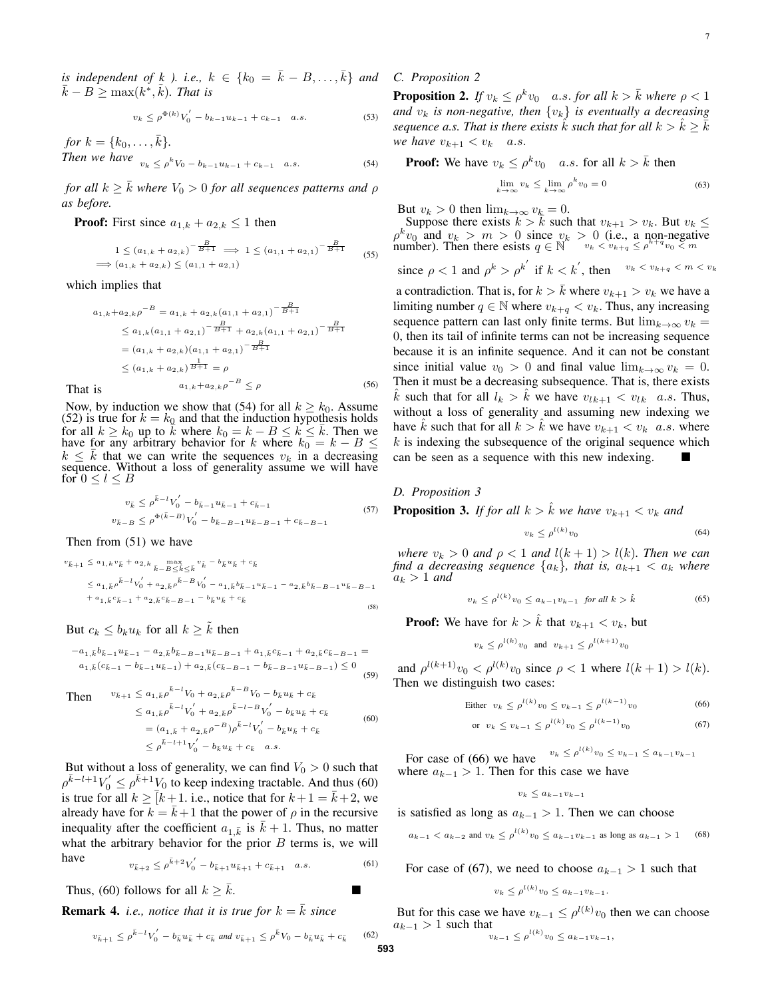*is independent of k ). i.e.,*  $k \in \{k_0 = \overline{k} - B, \ldots, \overline{k}\}$  *and*  $\bar{k} - B \ge \max(k^*, \tilde{k})$ . That is

$$
v_k \le \rho^{\Phi(k)} V_0' - b_{k-1} u_{k-1} + c_{k-1} \quad a.s.
$$
 (53)

*for*  $k = \{k_0, \ldots, \bar{k}\}.$ *Then we have*  $v_k \le \rho^k V_0 - b_{k-1} u_{k-1} + c_{k-1}$  a.s. (54)

*for all*  $k \geq \overline{k}$  *where*  $V_0 > 0$  *for all sequences patterns and*  $\rho$ *as before.*

**Proof:** First since  $a_{1,k} + a_{2,k} \leq 1$  then

$$
1 \le (a_{1,k} + a_{2,k})^{-\frac{B}{B+1}} \implies 1 \le (a_{1,1} + a_{2,1})^{-\frac{B}{B+1}}
$$
  

$$
\implies (a_{1,k} + a_{2,k}) \le (a_{1,1} + a_{2,1})
$$
 (55)

which implies that

$$
a_{1,k} + a_{2,k} \rho^{-B} = a_{1,k} + a_{2,k} (a_{1,1} + a_{2,1})^{-\frac{B}{B+1}}
$$
  
\n
$$
\le a_{1,k} (a_{1,1} + a_{2,1})^{-\frac{B}{B+1}} + a_{2,k} (a_{1,1} + a_{2,1})^{-\frac{B}{B+1}}
$$
  
\n
$$
= (a_{1,k} + a_{2,k}) (a_{1,1} + a_{2,1})^{-\frac{B}{B+1}}
$$
  
\n
$$
\le (a_{1,k} + a_{2,k})^{\frac{1}{B+1}} = \rho
$$
  
\nis  
\n
$$
a_{1,k} + a_{2,k} \rho^{-B} \le \rho
$$
\n(56)

That is

Now, by induction we show that (54) for all  $k \geq k_0$ . Assume (52) is true for  $k = k_0$  and that the induction hypothesis holds for all  $k \ge k_0$  up to  $\overline{k}$  where  $k_0 = k - B \le k \le \overline{k}$ . Then we have for any arbitrary behavior for k where  $k_0 = k - B \leq$  $k \leq \bar{k}$  that we can write the sequences  $v_k$  in a decreasing sequence. Without a loss of generality assume we will have for  $0 \leq l \leq B$ 

$$
v_{\bar{k}} \le \rho^{\bar{k}-l} V_0' - b_{\bar{k}-1} u_{\bar{k}-1} + c_{\bar{k}-1}
$$
  
\n
$$
v_{\bar{k}-B} \le \rho^{\Phi(\bar{k}-B)} V_0' - b_{\bar{k}-B-1} u_{\bar{k}-B-1} + c_{\bar{k}-B-1}
$$
\n(57)

Then from (51) we have

$$
v_{\bar{k}+1} \le a_{1,k} v_{\bar{k}} + a_{2,k} \max_{\bar{k}-B \le \hat{k} \le \bar{k}} v_{\hat{k}} - b_{\bar{k}} u_{\bar{k}} + c_{\bar{k}}
$$
  
\n
$$
\le a_{1,\bar{k}} \rho^{\bar{k}-l} v_0' + a_{2,\bar{k}} \rho^{\bar{k}-B} v_0' - a_{1,\bar{k}} b_{\bar{k}-1} u_{\bar{k}-1} - a_{2,\bar{k}} b_{\bar{k}-B-1} u_{\bar{k}-B-1}
$$
  
\n
$$
+ a_{1,\bar{k}} c_{\bar{k}-1} + a_{2,\bar{k}} c_{\bar{k}-B-1} - b_{\bar{k}} u_{\bar{k}} + c_{\bar{k}}
$$
  
\n(58)

But  $c_k \leq b_k u_k$  for all  $k \geq \tilde{k}$  then

$$
-a_{1,\bar{k}}b_{\bar{k}-1}u_{\bar{k}-1} - a_{2,\bar{k}}b_{\bar{k}-B-1}u_{\bar{k}-B-1} + a_{1,\bar{k}}c_{\bar{k}-1} + a_{2,\bar{k}}c_{\bar{k}-B-1} =
$$
  

$$
a_{1,\bar{k}}(c_{\bar{k}-1} - b_{\bar{k}-1}u_{\bar{k}-1}) + a_{2,\bar{k}}(c_{\bar{k}-B-1} - b_{\bar{k}-B-1}u_{\bar{k}-B-1}) \le 0
$$
  
(59)

Then 
$$
v_{\bar{k}+1} \le a_{1,\bar{k}} \rho^{\bar{k}-l} V_0 + a_{2,\bar{k}} \rho^{\bar{k}-B} V_0 - b_{\bar{k}} u_{\bar{k}} + c_{\bar{k}}
$$

$$
\le a_{1,\bar{k}} \rho^{\bar{k}-l} V_0' + a_{2,\bar{k}} \rho^{\bar{k}-l-B} V_0' - b_{\bar{k}} u_{\bar{k}} + c_{\bar{k}}
$$

$$
= (a_{1,\bar{k}} + a_{2,\bar{k}} \rho^{-B}) \rho^{\bar{k}-l} V_0' - b_{\bar{k}} u_{\bar{k}} + c_{\bar{k}}
$$

$$
\le \rho^{\bar{k}-l+1} V_0' - b_{\bar{k}} u_{\bar{k}} + c_{\bar{k}} \quad a.s.
$$
(60)

But without a loss of generality, we can find  $V_0 > 0$  such that  $\rho^{\bar{k}-l+1}V_0' \leq \rho^{\bar{k}+1}V_0$  to keep indexing tractable. And thus (60) is true for all  $k \geq \overline{k+1}$ . i.e., notice that for  $k+1 = \overline{k+2}$ , we already have for  $k = \bar{k} + 1$  that the power of  $\rho$  in the recursive inequality after the coefficient  $a_{1,\bar{k}}$  is  $\bar{k} + 1$ . Thus, no matter what the arbitrary behavior for the prior  $B$  terms is, we will have  $\overline{ }$ 

$$
v_{\bar{k}+2} \le \rho^{\bar{k}+2} V_0' - b_{\bar{k}+1} u_{\bar{k}+1} + c_{\bar{k}+1} \quad a.s.
$$
 (61)

Thus, (60) follows for all  $k \geq \overline{k}$ .

**Remark 4.** *i.e., notice that it is true for*  $k = \overline{k}$  *since* 

$$
v_{\bar{k}+1} \le \rho^{\bar{k}-l} V_0' - b_{\bar{k}} u_{\bar{k}} + c_{\bar{k}} \text{ and } v_{\bar{k}+1} \le \rho^{\bar{k}} V_0 - b_{\bar{k}} u_{\bar{k}} + c_{\bar{k}}
$$

*C. Proposition 2*

**Proposition 2.** If  $v_k \le \rho^k v_0$  a.s. for all  $k > \overline{k}$  where  $\rho < 1$ *and*  $v_k$  *is non-negative, then*  $\{v_k\}$  *is eventually a decreasing sequence a.s. That is there exists*  $\hat{k}$  *such that for all*  $k > \hat{k} \geq \overline{k}$ *we have*  $v_{k+1} < v_k$  *a.s.* 

**Proof:** We have  $v_k \n\t\leq \rho^k v_0$  *a.s.* for all  $k > \bar{k}$  then

$$
\lim_{k \to \infty} v_k \le \lim_{k \to \infty} \rho^k v_0 = 0 \tag{63}
$$

But  $v_k > 0$  then  $\lim_{k \to \infty} v_k = 0$ .

Suppose there exists  $k > \bar{k}$  such that  $v_{k+1} > v_k$ . But  $v_k \leq$  $\rho^k v_0$  and  $v_k > m > 0$  since  $v_k > 0$  (i.e., a non-negative number). Then there esists  $q \in \mathbb{N}$   $v_k < v_{k+q} \leq \rho^{k+q} v_0 < m$ 

since 
$$
\rho < 1
$$
 and  $\rho^k > \rho^{k'}$  if  $k < k'$ , then  $v_k < v_{k+q} < m < v_k$ 

a contradiction. That is, for  $k > \bar{k}$  where  $v_{k+1} > v_k$  we have a limiting number  $q \in \mathbb{N}$  where  $v_{k+q} < v_k$ . Thus, any increasing sequence pattern can last only finite terms. But  $\lim_{k\to\infty} v_k =$ 0, then its tail of infinite terms can not be increasing sequence because it is an infinite sequence. And it can not be constant since initial value  $v_0 > 0$  and final value  $\lim_{k \to \infty} v_k = 0$ . Then it must be a decreasing subsequence. That is, there exists k such that for all  $l_k > k$  we have  $v_{lk+1} < v_{lk}$  a.s. Thus, without a loss of generality and assuming new indexing we have  $\hat{k}$  such that for all  $k > \hat{k}$  we have  $v_{k+1} < v_k$  a.s. where  $k$  is indexing the subsequence of the original sequence which can be seen as a sequence with this new indexing.

#### *D. Proposition 3*

**Proposition 3.** *If for all*  $k > k$  *we have*  $v_{k+1} < v_k$  *and* 

$$
v_k \le \rho^{l(k)} v_0 \tag{64}
$$

*where*  $v_k > 0$  *and*  $\rho < 1$  *and*  $l(k + 1) > l(k)$ *. Then we can find a decreasing sequence*  $\{a_k\}$ *, that is,*  $a_{k+1} < a_k$  *where*  $a_k > 1$  and

$$
v_k \le \rho^{l(k)} v_0 \le a_{k-1} v_{k-1} \quad \text{for all } k > \hat{k} \tag{65}
$$

**Proof:** We have for  $k > k$  that  $v_{k+1} < v_k$ , but

$$
v_k \leq \rho^{l(k)} v_0
$$
 and  $v_{k+1} \leq \rho^{l(k+1)} v_0$ 

and  $\rho^{l(k+1)}v_0 < \rho^{l(k)}v_0$  since  $\rho < 1$  where  $l(k+1) > l(k)$ . Then we distinguish two cases:

Either 
$$
v_k \le \rho^{l(k)} v_0 \le v_{k-1} \le \rho^{l(k-1)} v_0
$$
 (66)

or 
$$
v_k \le v_{k-1} \le \rho^{l(k)} v_0 \le \rho^{l(k-1)} v_0
$$
 (67)

For case of (66) we have  $v_k \leq \rho^{l(k)} v_0 \leq v_{k-1} \leq a_{k-1} v_{k-1}$ where  $a_{k-1} > 1$ . Then for this case we have

$$
v_k \leq a_{k-1}v_{k-1}
$$

is satisfied as long as  $a_{k-1} > 1$ . Then we can choose

$$
a_{k-1} < a_{k-2}
$$
 and  $v_k \le \rho^{l(k)} v_0 \le a_{k-1} v_{k-1}$  as long as  $a_{k-1} > 1$  (68)

For case of (67), we need to choose  $a_{k-1} > 1$  such that

$$
v_k \le \rho^{l(k)} v_0 \le a_{k-1} v_{k-1}.
$$

But for this case we have  $v_{k-1} \leq \rho^{l(k)} v_0$  then we can choose  $a_{k-1} > 1$  such that  $\frac{1}{k}$ 

$$
v_{k-1} \leq \rho^{(k)} v_0 \leq a_{k-1} v_{k-1},
$$

 $(62)$